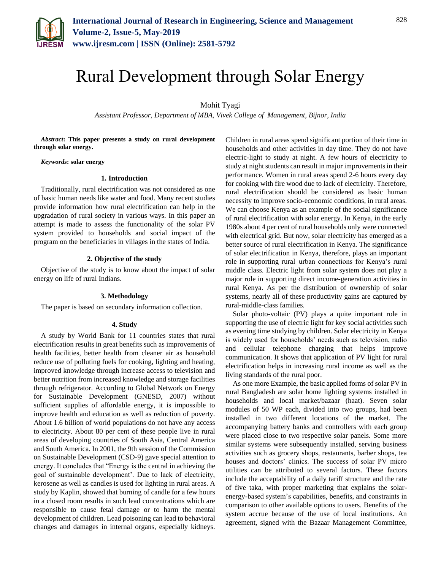

# Rural Development through Solar Energy

Mohit Tyagi

*Assistant Professor, Department of MBA, Vivek College of Management, Bijnor, India*

*Abstract***: This paper presents a study on rural development through solar energy.**

*Keywords***: solar energy**

## **1. Introduction**

Traditionally, rural electrification was not considered as one of basic human needs like water and food. Many recent studies provide information how rural electrification can help in the upgradation of rural society in various ways. In this paper an attempt is made to assess the functionality of the solar PV system provided to households and social impact of the program on the beneficiaries in villages in the states of India.

## **2. Objective of the study**

Objective of the study is to know about the impact of solar energy on life of rural Indians.

## **3. Methodology**

The paper is based on secondary information collection.

## **4. Study**

A study by World Bank for 11 countries states that rural electrification results in great benefits such as improvements of health facilities, better health from cleaner air as household reduce use of polluting fuels for cooking, lighting and heating, improved knowledge through increase access to television and better nutrition from increased knowledge and storage facilities through refrigerator. According to Global Network on Energy for Sustainable Development (GNESD, 2007) without sufficient supplies of affordable energy, it is impossible to improve health and education as well as reduction of poverty. About 1.6 billion of world populations do not have any access to electricity. About 80 per cent of these people live in rural areas of developing countries of South Asia, Central America and South America. In 2001, the 9th session of the Commission on Sustainable Development (CSD-9) gave special attention to energy. It concludes that "Energy is the central in achieving the goal of sustainable development'. Due to lack of electricity, kerosene as well as candles is used for lighting in rural areas. A study by Kaplin, showed that burning of candle for a few hours in a closed room results in such lead concentrations which are responsible to cause fetal damage or to harm the mental development of children. Lead poisoning can lead to behavioral changes and damages in internal organs, especially kidneys.

Children in rural areas spend significant portion of their time in households and other activities in day time. They do not have electric-light to study at night. A few hours of electricity to study at night students can result in major improvements in their performance. Women in rural areas spend 2-6 hours every day for cooking with fire wood due to lack of electricity. Therefore, rural electrification should be considered as basic human necessity to improve socio-economic conditions, in rural areas. We can choose Kenya as an example of the social significance of rural electrification with solar energy. In Kenya, in the early 1980s about 4 per cent of rural households only were connected with electrical grid. But now, solar electricity has emerged as a better source of rural electrification in Kenya. The significance of solar electrification in Kenya, therefore, plays an important role in supporting rural–urban connections for Kenya's rural middle class. Electric light from solar system does not play a major role in supporting direct income-generation activities in rural Kenya. As per the distribution of ownership of solar systems, nearly all of these productivity gains are captured by rural-middle-class families.

Solar photo-voltaic (PV) plays a quite important role in supporting the use of electric light for key social activities such as evening time studying by children. Solar electricity in Kenya is widely used for households' needs such as television, radio and cellular telephone charging that helps improve communication. It shows that application of PV light for rural electrification helps in increasing rural income as well as the living standards of the rural poor.

As one more Example, the basic applied forms of solar PV in rural Bangladesh are solar home lighting systems installed in households and local market/bazaar (haat). Seven solar modules of 50 WP each, divided into two groups, had been installed in two different locations of the market. The accompanying battery banks and controllers with each group were placed close to two respective solar panels. Some more similar systems were subsequently installed, serving business activities such as grocery shops, restaurants, barber shops, tea houses and doctors' clinics. The success of solar PV micro utilities can be attributed to several factors. These factors include the acceptability of a daily tariff structure and the rate of five taka, with proper marketing that explains the solarenergy-based system's capabilities, benefits, and constraints in comparison to other available options to users. Benefits of the system accrue because of the use of local institutions. An agreement, signed with the Bazaar Management Committee,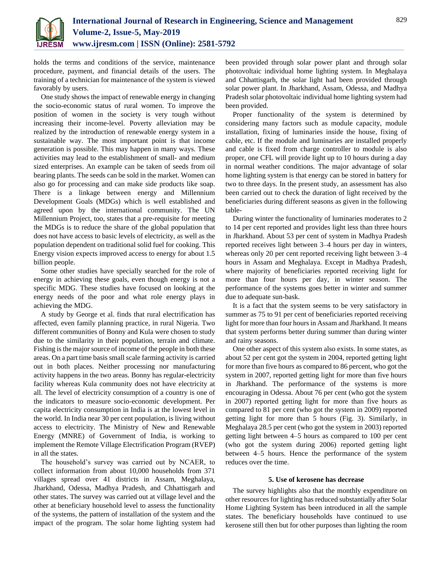

holds the terms and conditions of the service, maintenance procedure, payment, and financial details of the users. The training of a technician for maintenance of the system is viewed favorably by users.

One study shows the impact of renewable energy in changing the socio-economic status of rural women. To improve the position of women in the society is very tough without increasing their income-level. Poverty alleviation may be realized by the introduction of renewable energy system in a sustainable way. The most important point is that income generation is possible. This may happen in many ways. These activities may lead to the establishment of small- and medium sized enterprises. An example can be taken of seeds from oil bearing plants. The seeds can be sold in the market. Women can also go for processing and can make side products like soap. There is a linkage between energy and Millennium Development Goals (MDGs) which is well established and agreed upon by the international community. The UN Millennium Project, too, states that a pre-requisite for meeting the MDGs is to reduce the share of the global population that does not have access to basic levels of electricity, as well as the population dependent on traditional solid fuel for cooking. This Energy vision expects improved access to energy for about 1.5 billion people.

Some other studies have specially searched for the role of energy in achieving these goals, even though energy is not a specific MDG. These studies have focused on looking at the energy needs of the poor and what role energy plays in achieving the MDG.

A study by George et al. finds that rural electrification has affected, even family planning practice, in rural Nigeria. Two different communities of Bonny and Kula were chosen to study due to the similarity in their population, terrain and climate. Fishing is the major source of income of the people in both these areas. On a part time basis small scale farming activity is carried out in both places. Neither processing nor manufacturing activity happens in the two areas. Bonny has regular-electricity facility whereas Kula community does not have electricity at all. The level of electricity consumption of a country is one of the indicators to measure socio-economic development. Per capita electricity consumption in India is at the lowest level in the world. In India near 30 per cent population, is living without access to electricity. The Ministry of New and Renewable Energy (MNRE) of Government of India, is working to implement the Remote Village Electrification Program (RVEP) in all the states.

The household's survey was carried out by NCAER, to collect information from about 10,000 households from 371 villages spread over 41 districts in Assam, Meghalaya, Jharkhand, Odessa, Madhya Pradesh, and Chhattisgarh and other states. The survey was carried out at village level and the other at beneficiary household level to assess the functionality of the systems, the pattern of installation of the system and the impact of the program. The solar home lighting system had

been provided through solar power plant and through solar photovoltaic individual home lighting system. In Meghalaya and Chhattisgarh, the solar light had been provided through solar power plant. In Jharkhand, Assam, Odessa, and Madhya Pradesh solar photovoltaic individual home lighting system had been provided.

Proper functionality of the system is determined by considering many factors such as module capacity, module installation, fixing of luminaries inside the house, fixing of cable, etc. If the module and luminaries are installed properly and cable is fixed from charge controller to module is also proper, one CFL will provide light up to 10 hours during a day in normal weather conditions. The major advantage of solar home lighting system is that energy can be stored in battery for two to three days. In the present study, an assessment has also been carried out to check the duration of light received by the beneficiaries during different seasons as given in the following table-

During winter the functionality of luminaries moderates to 2 to 14 per cent reported and provides light less than three hours in Jharkhand. About 53 per cent of system in Madhya Pradesh reported receives light between 3–4 hours per day in winters, whereas only 20 per cent reported receiving light between 3–4 hours in Assam and Meghalaya. Except in Madhya Pradesh, where majority of beneficiaries reported receiving light for more than four hours per day, in winter season. The performance of the systems goes better in winter and summer due to adequate sun-bask.

It is a fact that the system seems to be very satisfactory in summer as 75 to 91 per cent of beneficiaries reported receiving light for more than four hours in Assam and Jharkhand. It means that system performs better during summer than during winter and rainy seasons.

One other aspect of this system also exists. In some states, as about 52 per cent got the system in 2004, reported getting light for more than five hours as compared to 86 percent, who got the system in 2007, reported getting light for more than five hours in Jharkhand. The performance of the systems is more encouraging in Odessa. About 76 per cent (who got the system in 2007) reported getting light for more than five hours as compared to 81 per cent (who got the system in 2009) reported getting light for more than 5 hours (Fig. 3). Similarly, in Meghalaya 28.5 per cent (who got the system in 2003) reported getting light between 4–5 hours as compared to 100 per cent (who got the system during 2006) reported getting light between 4–5 hours. Hence the performance of the system reduces over the time.

## **5. Use of kerosene has decrease**

The survey highlights also that the monthly expenditure on other resources for lighting has reduced substantially after Solar Home Lighting System has been introduced in all the sample states. The beneficiary households have continued to use kerosene still then but for other purposes than lighting the room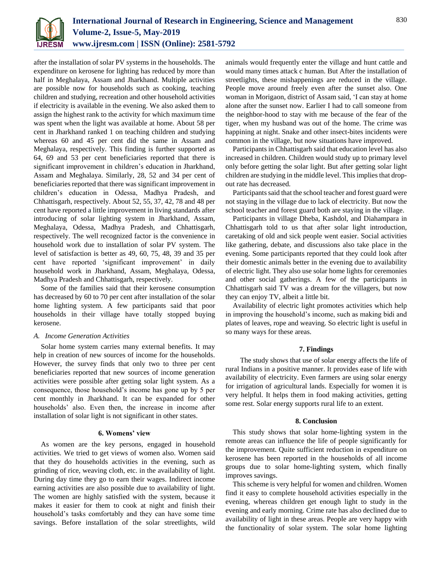

after the installation of solar PV systems in the households. The expenditure on kerosene for lighting has reduced by more than half in Meghalaya, Assam and Jharkhand. Multiple activities are possible now for households such as cooking, teaching children and studying, recreation and other household activities if electricity is available in the evening. We also asked them to assign the highest rank to the activity for which maximum time was spent when the light was available at home. About 58 per cent in Jharkhand ranked 1 on teaching children and studying whereas 60 and 45 per cent did the same in Assam and Meghalaya, respectively. This finding is further supported as 64, 69 and 53 per cent beneficiaries reported that there is significant improvement in children's education in Jharkhand, Assam and Meghalaya. Similarly, 28, 52 and 34 per cent of beneficiaries reported that there was significant improvement in children's education in Odessa, Madhya Pradesh, and Chhattisgarh, respectively. About 52, 55, 37, 42, 78 and 48 per cent have reported a little improvement in living standards after introducing of solar lighting system in Jharkhand, Assam, Meghalaya, Odessa, Madhya Pradesh, and Chhattisgarh, respectively. The well recognized factor is the convenience in household work due to installation of solar PV system. The level of satisfaction is better as 49, 60, 75, 48, 39 and 35 per cent have reported 'significant improvement' in daily household work in Jharkhand, Assam, Meghalaya, Odessa, Madhya Pradesh and Chhattisgarh, respectively.

Some of the families said that their kerosene consumption has decreased by 60 to 70 per cent after installation of the solar home lighting system. A few participants said that poor households in their village have totally stopped buying kerosene.

## *A. Income Generation Activities*

Solar home system carries many external benefits. It may help in creation of new sources of income for the households. However, the survey finds that only two to three per cent beneficiaries reported that new sources of income generation activities were possible after getting solar light system. As a consequence, those household's income has gone up by 5 per cent monthly in Jharkhand. It can be expanded for other households' also. Even then, the increase in income after installation of solar light is not significant in other states.

### **6. Womens' view**

As women are the key persons, engaged in household activities. We tried to get views of women also. Women said that they do households activities in the evening, such as grinding of rice, weaving cloth, etc. in the availability of light. During day time they go to earn their wages. Indirect income earning activities are also possible due to availability of light. The women are highly satisfied with the system, because it makes it easier for them to cook at night and finish their household's tasks comfortably and they can have some time savings. Before installation of the solar streetlights, wild

animals would frequently enter the village and hunt cattle and would many times attack c human. But After the installation of streetlights, these mishappenings are reduced in the village. People move around freely even after the sunset also. One woman in Morigaon, district of Assam said, 'I can stay at home alone after the sunset now. Earlier I had to call someone from the neighbor-hood to stay with me because of the fear of the tiger, when my husband was out of the home. The crime was happining at night. Snake and other insect-bites incidents were common in the village, but now situations have improved.

Participants in Chhattisgarh said that education level has also increased in children. Children would study up to primary level only before getting the solar light. But after getting solar light children are studying in the middle level. This implies that dropout rate has decreased.

Participants said that the school teacher and forest guard were not staying in the village due to lack of electricity. But now the school teacher and forest guard both are staying in the village.

Participants in village Dheba, Kashdol, and Diahampara in Chhattisgarh told to us that after solar light introduction, caretaking of old and sick people went easier. Social activities like gathering, debate, and discussions also take place in the evening. Some participants reported that they could look after their domestic animals better in the evening due to availability of electric light. They also use solar home lights for ceremonies and other social gatherings. A few of the participants in Chhattisgarh said TV was a dream for the villagers, but now they can enjoy TV, albeit a little bit.

Availability of electric light promotes activities which help in improving the household's income, such as making bidi and plates of leaves, rope and weaving. So electric light is useful in so many ways for these areas.

## **7. Findings**

The study shows that use of solar energy affects the life of rural Indians in a positive manner. It provides ease of life with availability of electricity. Even farmers are using solar energy for irrigation of agricultural lands. Especially for women it is very helpful. It helps them in food making activities, getting some rest. Solar energy supports rural life to an extent.

## **8. Conclusion**

This study shows that solar home-lighting system in the remote areas can influence the life of people significantly for the improvement. Quite sufficient reduction in expenditure on kerosene has been reported in the households of all income groups due to solar home-lighting system, which finally improves savings.

This scheme is very helpful for women and children. Women find it easy to complete household activities especially in the evening, whereas children get enough light to study in the evening and early morning. Crime rate has also declined due to availability of light in these areas. People are very happy with the functionality of solar system. The solar home lighting